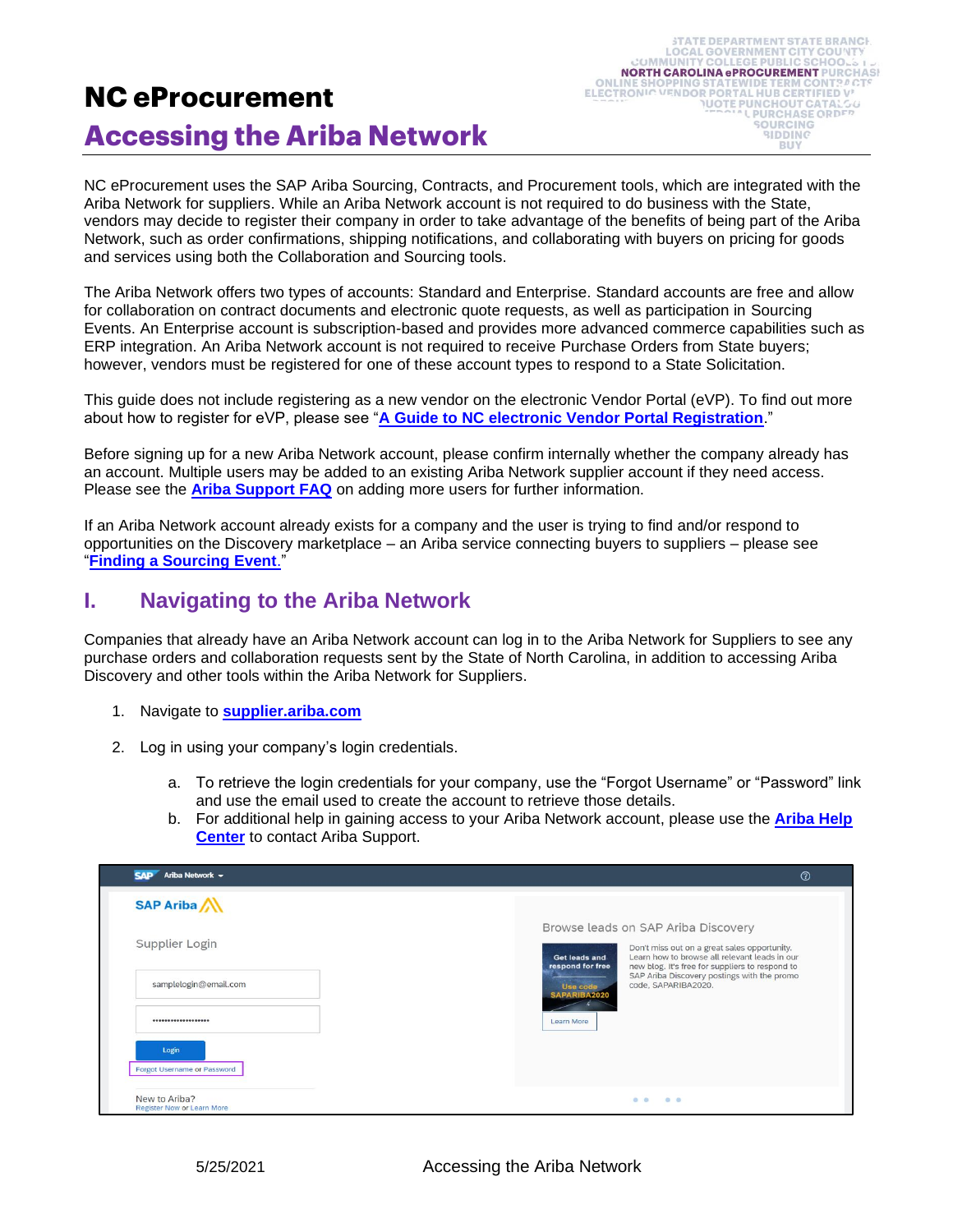## **NC eProcurement Accessing the Ariba Network**

NC eProcurement uses the SAP Ariba Sourcing, Contracts, and Procurement tools, which are integrated with the Ariba Network for suppliers. While an Ariba Network account is not required to do business with the State, vendors may decide to register their company in order to take advantage of the benefits of being part of the Ariba Network, such as order confirmations, shipping notifications, and collaborating with buyers on pricing for goods and services using both the Collaboration and Sourcing tools.

The Ariba Network offers two types of accounts: Standard and Enterprise. Standard accounts are free and allow for collaboration on contract documents and electronic quote requests, as well as participation in Sourcing Events. An Enterprise account is subscription-based and provides more advanced commerce capabilities such as ERP integration. An Ariba Network account is not required to receive Purchase Orders from State buyers; however, vendors must be registered for one of these account types to respond to a State Solicitation.

This guide does not include registering as a new vendor on the electronic Vendor Portal (eVP). To find out more about how to register for eVP, please see "**[A Guide to NC electronic Vendor Portal Registration](https://eprocurement.nc.gov/guide-nc-electronic-vendor-portal-registration/open)**."

Before signing up for a new Ariba Network account, please confirm internally whether the company already has an account. Multiple users may be added to an existing Ariba Network supplier account if they need access. Please see the **[Ariba Support FAQ](https://support.ariba.com/Item/view/82240)** on adding more users for further information.

If an Ariba Network account already exists for a company and the user is trying to find and/or respond to opportunities on the Discovery marketplace – an Ariba service connecting buyers to suppliers – please see "**[Finding a Sourcing Event](https://eprocurement.nc.gov/training/vendor-training/finding-sourcing-event)**."

## **I. Navigating to the Ariba Network**

Companies that already have an Ariba Network account can log in to the Ariba Network for Suppliers to see any purchase orders and collaboration requests sent by the State of North Carolina, in addition to accessing Ariba Discovery and other tools within the Ariba Network for Suppliers.

- 1. Navigate to **[supplier.ariba.com](http://supplier.ariba.com/)**
- 2. Log in using your company's login credentials.
	- a. To retrieve the login credentials for your company, use the "Forgot Username" or "Password" link and use the email used to create the account to retrieve those details.
	- b. For additional help in gaining access to your Ariba Network account, please use the **[Ariba](https://uex.ariba.com/auc/node/154587) Help [Center](https://uex.ariba.com/auc/node/154587)** to contact Ariba Support.

| Ariba Network -<br><b>SAP</b>               | $^{\circ}$                                                                                                                                                                                                                                                                  |
|---------------------------------------------|-----------------------------------------------------------------------------------------------------------------------------------------------------------------------------------------------------------------------------------------------------------------------------|
| <b>SAP Ariba</b>                            |                                                                                                                                                                                                                                                                             |
| Supplier Login                              | Browse leads on SAP Ariba Discovery<br>Don't miss out on a great sales opportunity.<br>Learn how to browse all relevant leads in our<br>Get leads and<br>respond for free<br>new blog. It's free for suppliers to respond to<br>SAP Ariba Discovery postings with the promo |
| samplelogin@email.com<br>                   | code, SAPARIBA2020.<br>Use code<br>SAPARIBA2020<br>Learn More                                                                                                                                                                                                               |
| Login<br>Forgot Username or Password        |                                                                                                                                                                                                                                                                             |
| New to Ariba?<br>Register Now or Learn More | $ -$<br>0.0                                                                                                                                                                                                                                                                 |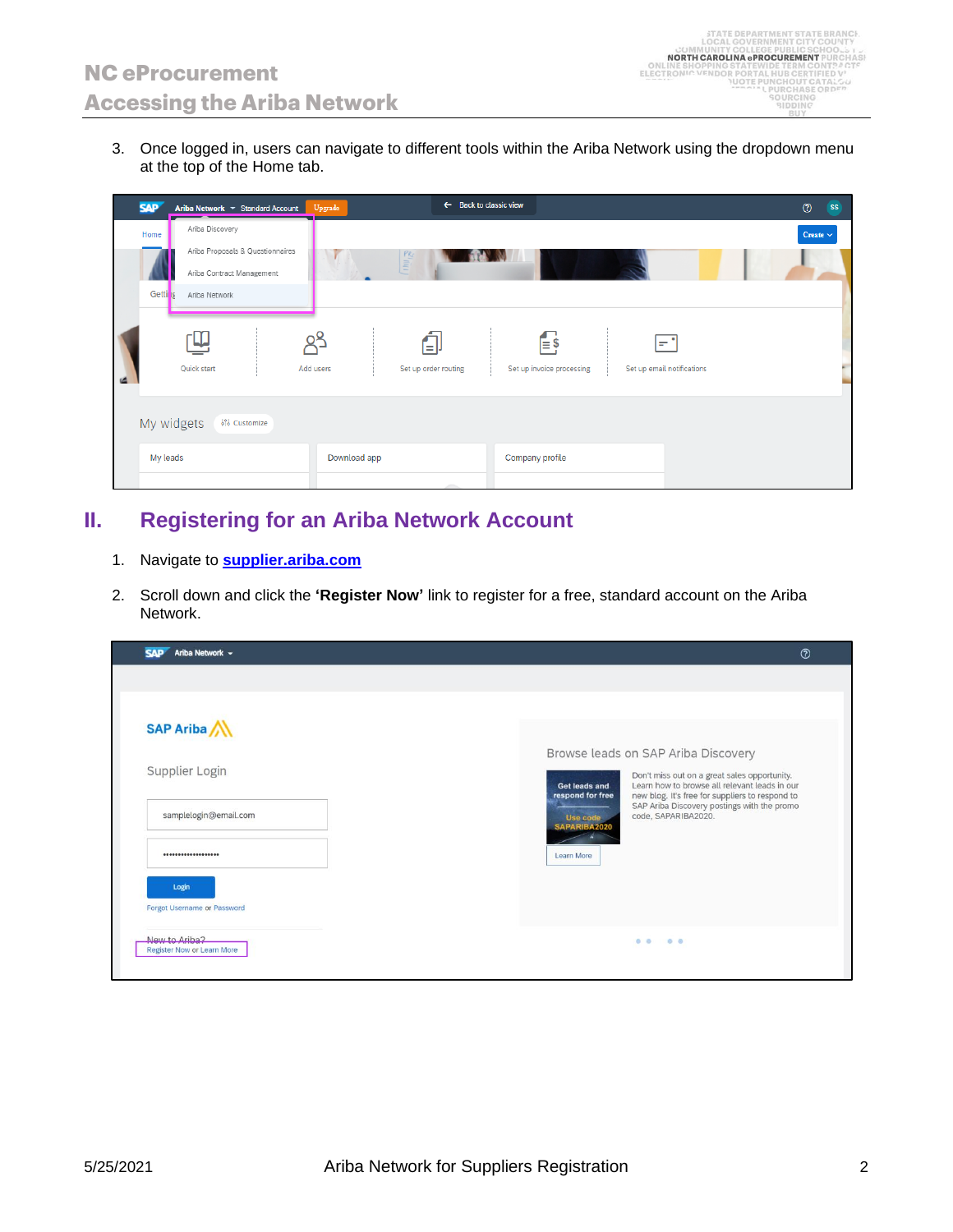3. Once logged in, users can navigate to different tools within the Ariba Network using the dropdown menu at the top of the Home tab.

| <b>SAP</b> |                 | Ariba Network ▼ Standard Account | Upgrade      |                                                                        | $\leftarrow$ Back to classic view         |                                   | $\circledcirc$<br><b>SS</b> |
|------------|-----------------|----------------------------------|--------------|------------------------------------------------------------------------|-------------------------------------------|-----------------------------------|-----------------------------|
| Home       | Ariba Discovery |                                  |              |                                                                        |                                           |                                   | Create $\sim$               |
|            |                 | Ariba Proposals & Questionnaires |              | $\begin{array}{c}\n P_{\mathcal{K}} \\ \equiv \\ \equiv\n \end{array}$ |                                           |                                   |                             |
|            |                 | Ariba Contract Management        |              |                                                                        |                                           |                                   |                             |
| Getting    | Ariba Network   |                                  |              |                                                                        |                                           |                                   |                             |
|            | Quick start     |                                  | Add users    | El<br>Set up order routing                                             | $\mathsf{E}$<br>Set up invoice processing | l÷i<br>Set up email notifications |                             |
|            | My widgets      | 界 Customize                      |              |                                                                        |                                           |                                   |                             |
| My leads   |                 |                                  | Download app |                                                                        | Company profile                           |                                   |                             |
|            |                 |                                  |              | <b>STATISTICS</b>                                                      |                                           |                                   |                             |

## **II. Registering for an Ariba Network Account**

- 1. Navigate to **[supplier.ariba.com](http://supplier.ariba.com/)**
- 2. Scroll down and click the **'Register Now'** link to register for a free, standard account on the Ariba Network.

| Ariba Network ~<br><b>SAP</b>                                                              | $^{\circ}$                                                                                                                                                                                                                                                                  |  |
|--------------------------------------------------------------------------------------------|-----------------------------------------------------------------------------------------------------------------------------------------------------------------------------------------------------------------------------------------------------------------------------|--|
| <b>SAP Ariba</b><br>Supplier Login                                                         | Browse leads on SAP Ariba Discovery<br>Don't miss out on a great sales opportunity.<br>Learn how to browse all relevant leads in our<br>Get leads and<br>respond for free<br>new blog. It's free for suppliers to respond to<br>SAP Ariba Discovery postings with the promo |  |
| samplelogin@email.com<br>*******************                                               | code, SAPARIBA2020.<br>Use code<br>SAPARIBA2020<br>Learn More                                                                                                                                                                                                               |  |
| Login<br><b>Forgot Username or Password</b><br>New to Ariba?<br>Register Now or Learn More | $\begin{array}{ccc} 0 & 0 & \ldots & 0 & 0 \end{array}$                                                                                                                                                                                                                     |  |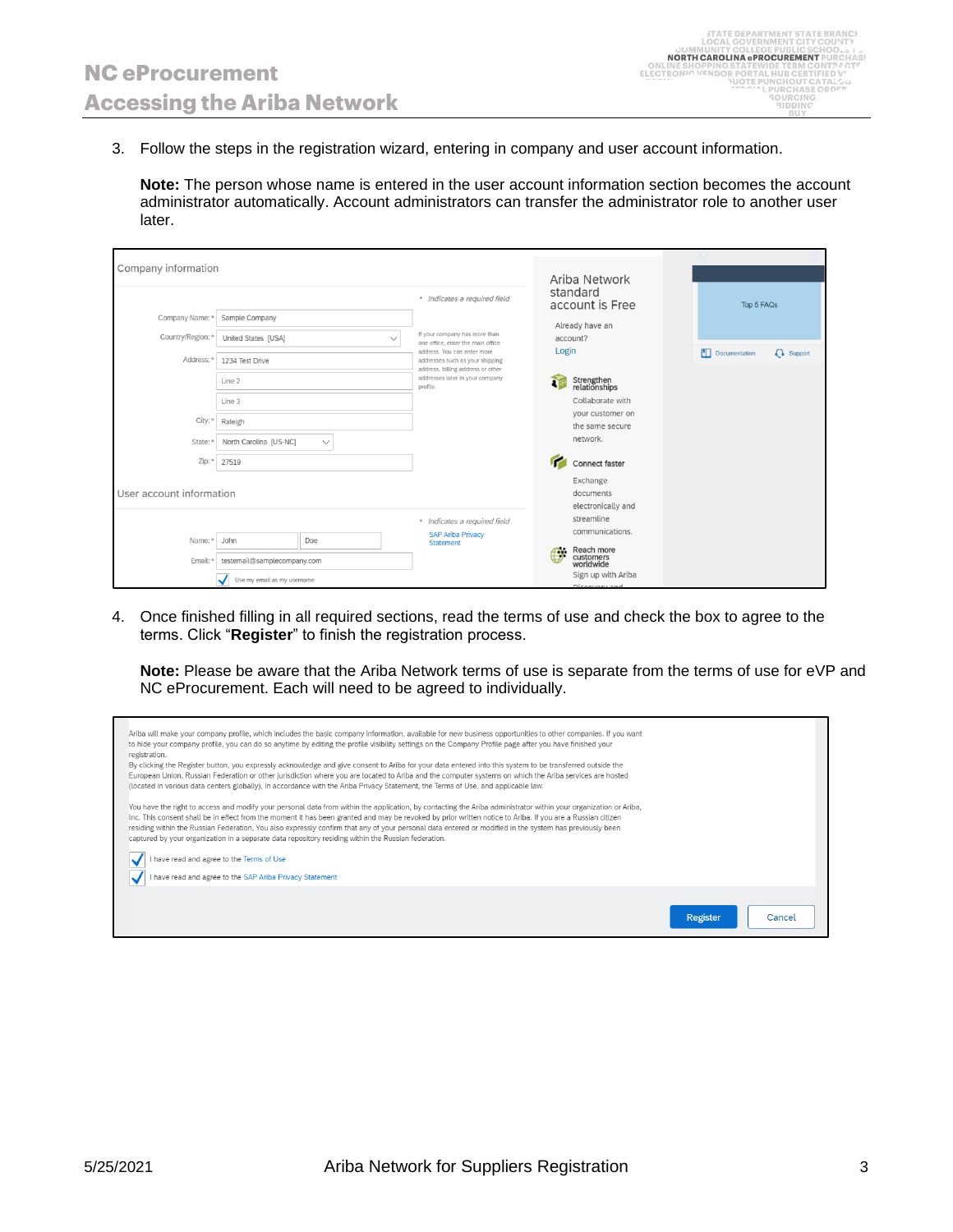3. Follow the steps in the registration wizard, entering in company and user account information.

**Note:** The person whose name is entered in the user account information section becomes the account administrator automatically. Account administrators can transfer the administrator role to another user later.

| Company information      |                                        |                                                                                                     |          | Ariba Network                        |  |               |                  |
|--------------------------|----------------------------------------|-----------------------------------------------------------------------------------------------------|----------|--------------------------------------|--|---------------|------------------|
|                          |                                        | * Indicates a required field                                                                        |          | standard<br>account is Free          |  | Top 5 FAQs    |                  |
| Company Name: *          | Sample Company                         |                                                                                                     |          |                                      |  |               |                  |
| Country/Region: *        | United States [USA]<br>$\checkmark$    | If your company has more than<br>one office, enter the main office                                  |          | Already have an<br>account?          |  |               |                  |
| Address: *               | 1234 Test Drive                        | address. You can enter more<br>addresses such as your shipping<br>address, billing address or other | Login    |                                      |  | Documentation | <b>Q</b> Support |
|                          | Line 2                                 | addresses later in your company<br>profile.                                                         | <b>R</b> | Strengthen<br>relationships          |  |               |                  |
|                          | Line 3                                 |                                                                                                     |          | Collaborate with                     |  |               |                  |
| City: *                  | Raleigh                                |                                                                                                     |          | your customer on<br>the same secure  |  |               |                  |
| State:*                  | North Carolina [US-NC]<br>$\checkmark$ |                                                                                                     |          | network.                             |  |               |                  |
| Zip: *                   | 27519                                  |                                                                                                     | r        | <b>Connect faster</b>                |  |               |                  |
|                          |                                        |                                                                                                     |          | Exchange                             |  |               |                  |
| User account information |                                        |                                                                                                     |          | documents                            |  |               |                  |
|                          |                                        |                                                                                                     |          | electronically and                   |  |               |                  |
|                          |                                        | * Indicates a required field                                                                        |          | streamline                           |  |               |                  |
| Name:*                   | John<br>Doe                            | <b>SAP Ariba Privacy</b><br><b>Statement</b>                                                        |          | communications.                      |  |               |                  |
| Email:*                  | testemail@samplecompany.com            |                                                                                                     | σ⊾.      | Reach more<br>customers<br>worldwide |  |               |                  |
|                          | Use my email as my username            |                                                                                                     |          | Sign up with Ariba<br>Discourse and  |  |               |                  |

4. Once finished filling in all required sections, read the terms of use and check the box to agree to the terms. Click "**Register**" to finish the registration process.

**Note:** Please be aware that the Ariba Network terms of use is separate from the terms of use for eVP and NC eProcurement. Each will need to be agreed to individually.

| You have the right to access and modify your personal data from within the application, by contacting the Ariba administrator within your organization or Ariba,<br>Inc. This consent shall be in effect from the moment it has been granted and may be revoked by prior written notice to Ariba. If you are a Russian citizen<br>residing within the Russian Federation, You also expressly confirm that any of your personal data entered or modified in the system has previously been<br>captured by your organization in a separate data repository residing within the Russian federation.<br>I have read and agree to the Terms of Use<br>I have read and agree to the SAP Ariba Privacy Statement                                                                                             |  |
|-------------------------------------------------------------------------------------------------------------------------------------------------------------------------------------------------------------------------------------------------------------------------------------------------------------------------------------------------------------------------------------------------------------------------------------------------------------------------------------------------------------------------------------------------------------------------------------------------------------------------------------------------------------------------------------------------------------------------------------------------------------------------------------------------------|--|
| Ariba will make your company profile, which includes the basic company information, available for new business opportunities to other companies. If you want<br>to hide your company profile, you can do so anytime by editing the profile visibility settings on the Company Profile page after you have finished your<br>registration.<br>By clicking the Register button, you expressly acknowledge and give consent to Ariba for your data entered into this system to be transferred outside the<br>European Union, Russian Federation or other jurisdiction where you are located to Ariba and the computer systems on which the Ariba services are hosted<br>(located in various data centers globally), in accordance with the Ariba Privacy Statement, the Terms of Use, and applicable law. |  |